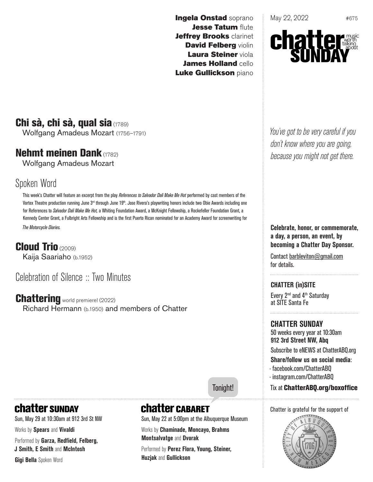Ingela Onstad soprano Jesse Tatum flute Jeffrey Brooks clarinet David Felberg violin Laura Steiner viola James Holland cello Luke Gullickson piano

May 22, 2022  $*675$ 



# Chi sà, chi sà, qual sia (1789)

Wolfgang Amadeus Mozart (1756–1791)

#### Nehmt meinen Dank (1782)

Wolfgang Amadeus Mozart

### Spoken Word

This week's Chatter will feature an excerpt from the play *References to Salvador Dali Make Me Hot* performed by cast members of the Vortex Theatre production running June  $3<sup>rd</sup>$  through June  $19<sup>th</sup>$ . Jose Rivera's playwriting honors include two Obie Awards including one for References to *Salvador Dali Make Me Hot,* a Whiting Foundation Award, a McKnight Fellowship, a Rockefeller Foundation Grant, a Kennedy Center Grant, a Fulbright Arts Fellowship and is the first Puerto Rican nominated for an Academy Award for screenwriting for *The Motorcycle Diaries.*

Cloud Trio (2009) Kaija Saariaho (b.1952)

## Celebration of Silence :: Two Minutes

Chattering world premiere! (2022) Richard Hermann (b.1950) and members of Chatter

#### Tonight!

Chatter is grateful for the support of



# **chatter sunpay**

Sun, May 29 at 10:30am at 912 3rd St NW Works by **Spears** and **Vivaldi** Performed by **Garza, Redfield, Felberg, J Smith, E Smith** and **McIntosh Gigi Bella** Spoken Word

# **Chatter CABARET**

Sun, May 22 at 5:00pm at the Albuquerque Museum

Works by **Chaminade, Moncayo, Brahms Montsalvatge** and **Dvorak**

Performed by **Perez Flora, Young, Steiner, Huzjak** and **Gullickson**

*You've got to be very careful if you don't know where you are going, because you might not get there.*

**Celebrate, honor, or commemorate, a day, a person, an event, by becoming a Chatter Day Sponsor.**

Contact barbleviton@gmail.com for details.

**CHATTER (in)SITE** Every 2nd and 4th Saturday at SITE Santa Fe

**CHATTER SUNDAY** 50 weeks every year at 10:30am **912 3rd Street NW, Abq** Subscribe to eNEWS at ChatterABQ.org

**Share/follow us on social media**:

- · facebook.com/ChatterABQ
- · instagram.com/ChatterABQ